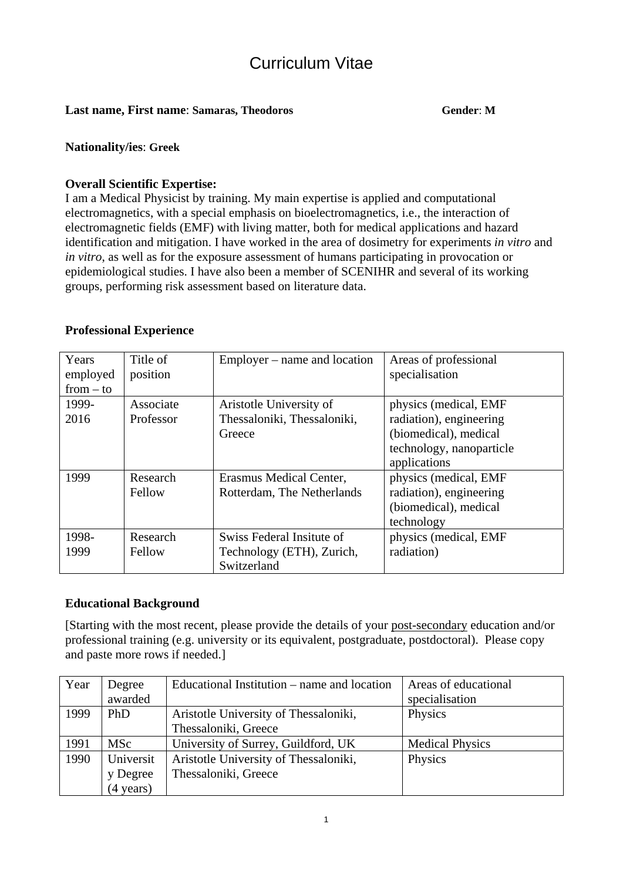# Curriculum Vitae

# Last name, First name: Samaras, Theodoros Gender: M

## **Nationality/ies**: **Greek**

# **Overall Scientific Expertise:**

I am a Medical Physicist by training. My main expertise is applied and computational electromagnetics, with a special emphasis on bioelectromagnetics, i.e., the interaction of electromagnetic fields (EMF) with living matter, both for medical applications and hazard identification and mitigation. I have worked in the area of dosimetry for experiments *in vitro* and *in vitro*, as well as for the exposure assessment of humans participating in provocation or epidemiological studies. I have also been a member of SCENIHR and several of its working groups, performing risk assessment based on literature data.

# **Professional Experience**

| Years       | Title of  | $Emplayer$ – name and location | Areas of professional    |
|-------------|-----------|--------------------------------|--------------------------|
| employed    | position  |                                | specialisation           |
| $from - to$ |           |                                |                          |
| 1999-       | Associate | Aristotle University of        | physics (medical, EMF    |
| 2016        | Professor | Thessaloniki, Thessaloniki,    | radiation), engineering  |
|             |           | Greece                         | (biomedical), medical    |
|             |           |                                | technology, nanoparticle |
|             |           |                                | applications             |
| 1999        | Research  | Erasmus Medical Center,        | physics (medical, EMF    |
|             | Fellow    | Rotterdam, The Netherlands     | radiation), engineering  |
|             |           |                                | (biomedical), medical    |
|             |           |                                | technology               |
| 1998-       | Research  | Swiss Federal Insitute of      | physics (medical, EMF    |
| 1999        | Fellow    | Technology (ETH), Zurich,      | radiation)               |
|             |           | Switzerland                    |                          |

## **Educational Background**

[Starting with the most recent, please provide the details of your post-secondary education and/or professional training (e.g. university or its equivalent, postgraduate, postdoctoral). Please copy and paste more rows if needed.]

| Year | Degree              | Educational Institution – name and location | Areas of educational   |
|------|---------------------|---------------------------------------------|------------------------|
|      | awarded             |                                             | specialisation         |
| 1999 | PhD                 | Aristotle University of Thessaloniki,       | Physics                |
|      |                     | Thessaloniki, Greece                        |                        |
| 1991 | <b>MSc</b>          | University of Surrey, Guildford, UK         | <b>Medical Physics</b> |
| 1990 | Universit           | Aristotle University of Thessaloniki,       | Physics                |
|      | y Degree            | Thessaloniki, Greece                        |                        |
|      | $(4 \text{ years})$ |                                             |                        |